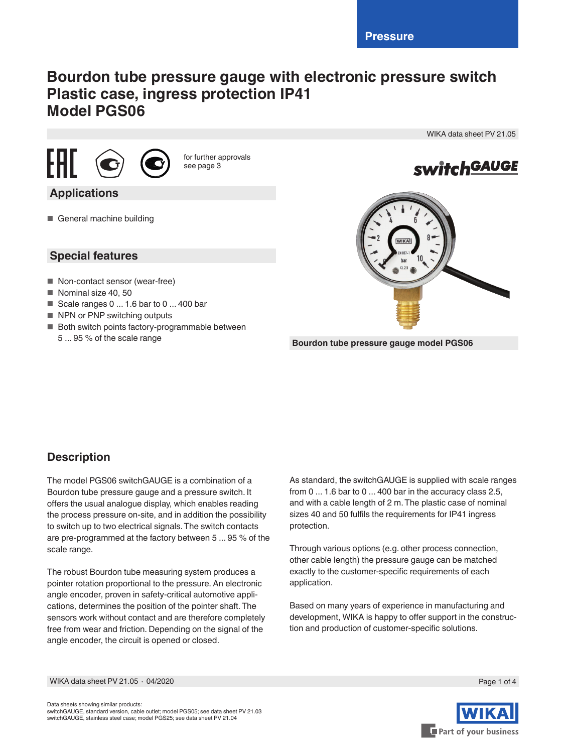# **Bourdon tube pressure gauge with electronic pressure switch Plastic case, ingress protection IP41 Model PGS06**





for further approvals see page 3

## **Applications**

■ General machine building

## **Special features**

- Non-contact sensor (wear-free)
- Nominal size 40, 50
- Geale ranges  $0...1.6$  bar to  $0...400$  bar
- NPN or PNP switching outputs
- Both switch points factory-programmable between 5 ... 95 % of the scale range



WIKA data sheet PV 21.05

**Bourdon tube pressure gauge model PGS06**

## **Description**

The model PGS06 switchGAUGE is a combination of a Bourdon tube pressure gauge and a pressure switch. It offers the usual analogue display, which enables reading the process pressure on-site, and in addition the possibility to switch up to two electrical signals. The switch contacts are pre-programmed at the factory between 5 ... 95 % of the scale range.

The robust Bourdon tube measuring system produces a pointer rotation proportional to the pressure. An electronic angle encoder, proven in safety-critical automotive applications, determines the position of the pointer shaft. The sensors work without contact and are therefore completely free from wear and friction. Depending on the signal of the angle encoder, the circuit is opened or closed.

As standard, the switchGAUGE is supplied with scale ranges from 0 ... 1.6 bar to 0 ... 400 bar in the accuracy class 2.5, and with a cable length of 2 m. The plastic case of nominal sizes 40 and 50 fulfils the requirements for IP41 ingress protection.

Through various options (e.g. other process connection, other cable length) the pressure gauge can be matched exactly to the customer-specific requirements of each application.

Based on many years of experience in manufacturing and development, WIKA is happy to offer support in the construction and production of customer-specific solutions.

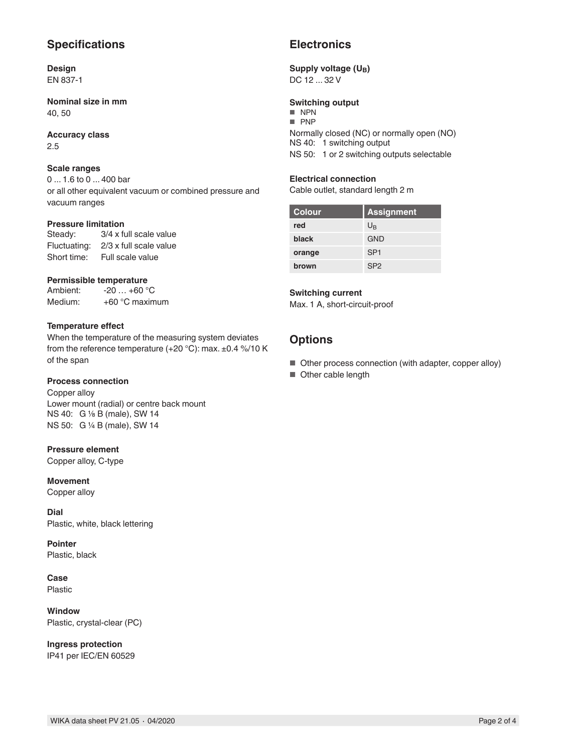## **Specifications**

#### **Design** EN 837-1

**Nominal size in mm** 40, 50

#### **Accuracy class** 2.5

## **Scale ranges**

0 ... 1.6 to 0 ... 400 bar or all other equivalent vacuum or combined pressure and vacuum ranges

# **Pressure limitation**<br>Steady:  $3/4 \times 10$

3/4 x full scale value Fluctuating: 2/3 x full scale value Short time: Full scale value

# **Permissible temperature**<br>Ambient: -20 ... +60 °

 $-20$  …  $+60$  °C Medium: +60 °C maximum

#### **Temperature effect**

When the temperature of the measuring system deviates from the reference temperature  $(+20 °C)$ : max.  $\pm 0.4 \%$ /10 K of the span

#### **Process connection**

Copper alloy Lower mount (radial) or centre back mount NS 40: G ⅛ B (male), SW 14 NS 50: G ¼ B (male), SW 14

#### **Pressure element**

Copper alloy, C-type

#### **Movement**

Copper alloy

**Dial** Plastic, white, black lettering

**Pointer** Plastic, black

**Case** Plastic

**Window** Plastic, crystal-clear (PC)

**Ingress protection** IP41 per IEC/EN 60529

## **Electronics**

### Supply voltage (U<sub>B</sub>)

DC 12 ... 32 V

#### **Switching output**

■ NPN ■ PNP

Normally closed (NC) or normally open (NO) NS 40: 1 switching output NS 50: 1 or 2 switching outputs selectable

#### **Electrical connection**

Cable outlet, standard length 2 m

| <b>Colour</b> | <b>Assignment</b> |
|---------------|-------------------|
| red           | $U_{\mathsf{B}}$  |
| black         | GND               |
| orange        | SP <sub>1</sub>   |
| brown         | SP <sub>2</sub>   |

#### **Switching current**

Max. 1 A, short-circuit-proof

### **Options**

- Other process connection (with adapter, copper alloy)
- Other cable length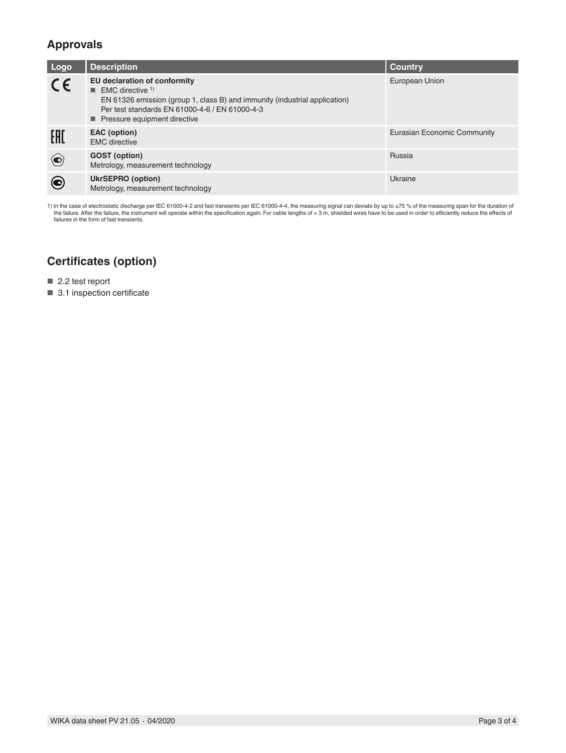## **Approvals**

| Logo        | <b>Description</b>                                                                                                                                                                                                                         | <b>Country</b>              |
|-------------|--------------------------------------------------------------------------------------------------------------------------------------------------------------------------------------------------------------------------------------------|-----------------------------|
| $C\epsilon$ | EU declaration of conformity<br>$\blacksquare$ EMC directive <sup>1)</sup><br>EN 61326 emission (group 1, class B) and immunity (industrial application)<br>Per test standards EN 61000-4-6 / EN 61000-4-3<br>Pressure equipment directive | European Union              |
| EAD         | EAC (option)<br><b>EMC</b> directive                                                                                                                                                                                                       | Eurasian Economic Community |
| $\bigodot$  | <b>GOST</b> (option)<br>Metrology, measurement technology                                                                                                                                                                                  | Russia                      |
| )           | <b>UkrSEPRO (option)</b><br>Metrology, measurement technology                                                                                                                                                                              | Ukraine                     |

1) In the case of electrostatic discharge per IEC 61000-4-2 and fast transients per IEC 61000-4-4, the measuring signal can deviate by up to ±75 % of the measuring span for the duration of<br>In the failure. After the failure failures in the form of fast transients.

# **Certificates (option)**

■ 2.2 test report

■ 3.1 inspection certificate